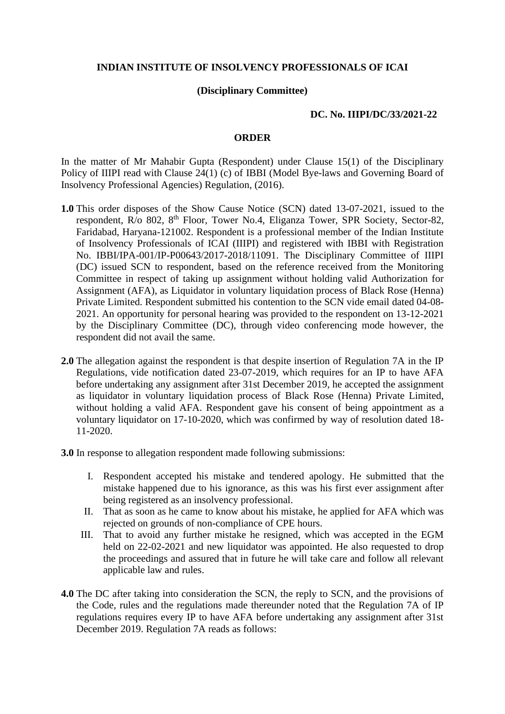## **INDIAN INSTITUTE OF INSOLVENCY PROFESSIONALS OF ICAI**

## **(Disciplinary Committee)**

## **DC. No. IIIPI/DC/33/2021-22**

## **ORDER**

In the matter of Mr Mahabir Gupta (Respondent) under Clause 15(1) of the Disciplinary Policy of IIIPI read with Clause 24(1) (c) of IBBI (Model Bye-laws and Governing Board of Insolvency Professional Agencies) Regulation, (2016).

- **1.0** This order disposes of the Show Cause Notice (SCN) dated 13-07-2021, issued to the respondent, R/o 802, 8<sup>th</sup> Floor, Tower No.4, Eliganza Tower, SPR Society, Sector-82, Faridabad, Haryana-121002. Respondent is a professional member of the Indian Institute of Insolvency Professionals of ICAI (IIIPI) and registered with IBBI with Registration No. IBBI/IPA-001/IP-P00643/2017-2018/11091. The Disciplinary Committee of IIIPI (DC) issued SCN to respondent, based on the reference received from the Monitoring Committee in respect of taking up assignment without holding valid Authorization for Assignment (AFA), as Liquidator in voluntary liquidation process of Black Rose (Henna) Private Limited. Respondent submitted his contention to the SCN vide email dated 04-08- 2021. An opportunity for personal hearing was provided to the respondent on 13-12-2021 by the Disciplinary Committee (DC), through video conferencing mode however, the respondent did not avail the same.
- **2.0** The allegation against the respondent is that despite insertion of Regulation 7A in the IP Regulations, vide notification dated 23-07-2019, which requires for an IP to have AFA before undertaking any assignment after 31st December 2019, he accepted the assignment as liquidator in voluntary liquidation process of Black Rose (Henna) Private Limited, without holding a valid AFA. Respondent gave his consent of being appointment as a voluntary liquidator on 17-10-2020, which was confirmed by way of resolution dated 18- 11-2020.
- **3.0** In response to allegation respondent made following submissions:
	- I. Respondent accepted his mistake and tendered apology. He submitted that the mistake happened due to his ignorance, as this was his first ever assignment after being registered as an insolvency professional.
	- II. That as soon as he came to know about his mistake, he applied for AFA which was rejected on grounds of non-compliance of CPE hours.
	- III. That to avoid any further mistake he resigned, which was accepted in the EGM held on 22-02-2021 and new liquidator was appointed. He also requested to drop the proceedings and assured that in future he will take care and follow all relevant applicable law and rules.
- **4.0** The DC after taking into consideration the SCN, the reply to SCN, and the provisions of the Code, rules and the regulations made thereunder noted that the Regulation 7A of IP regulations requires every IP to have AFA before undertaking any assignment after 31st December 2019. Regulation 7A reads as follows: